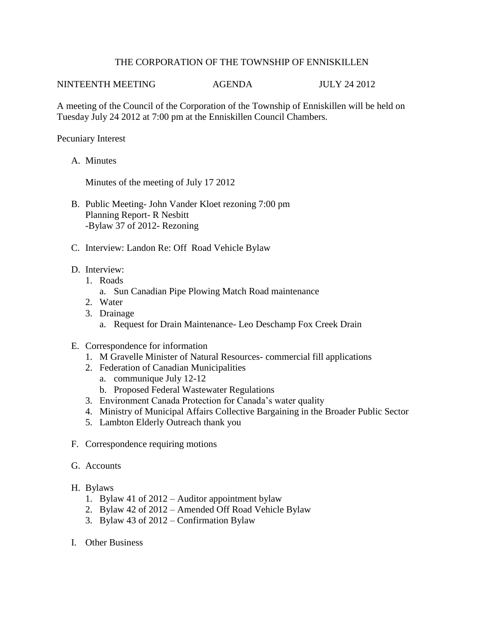## THE CORPORATION OF THE TOWNSHIP OF ENNISKILLEN

NINTEENTH MEETING AGENDA JULY 24 2012

A meeting of the Council of the Corporation of the Township of Enniskillen will be held on Tuesday July 24 2012 at 7:00 pm at the Enniskillen Council Chambers.

Pecuniary Interest

A. Minutes

Minutes of the meeting of July 17 2012

- B. Public Meeting- John Vander Kloet rezoning 7:00 pm Planning Report- R Nesbitt -Bylaw 37 of 2012- Rezoning
- C. Interview: Landon Re: Off Road Vehicle Bylaw
- D. Interview:
	- 1. Roads
		- a. Sun Canadian Pipe Plowing Match Road maintenance
	- 2. Water
	- 3. Drainage a. Request for Drain Maintenance- Leo Deschamp Fox Creek Drain
- E. Correspondence for information
	- 1. M Gravelle Minister of Natural Resources- commercial fill applications
	- 2. Federation of Canadian Municipalities
		- a. communique July 12-12
		- b. Proposed Federal Wastewater Regulations
	- 3. Environment Canada Protection for Canada's water quality
	- 4. Ministry of Municipal Affairs Collective Bargaining in the Broader Public Sector
	- 5. Lambton Elderly Outreach thank you
- F. Correspondence requiring motions
- G. Accounts
- H. Bylaws
	- 1. Bylaw 41 of 2012 Auditor appointment bylaw
	- 2. Bylaw 42 of 2012 Amended Off Road Vehicle Bylaw
	- 3. Bylaw 43 of 2012 Confirmation Bylaw
- I. Other Business